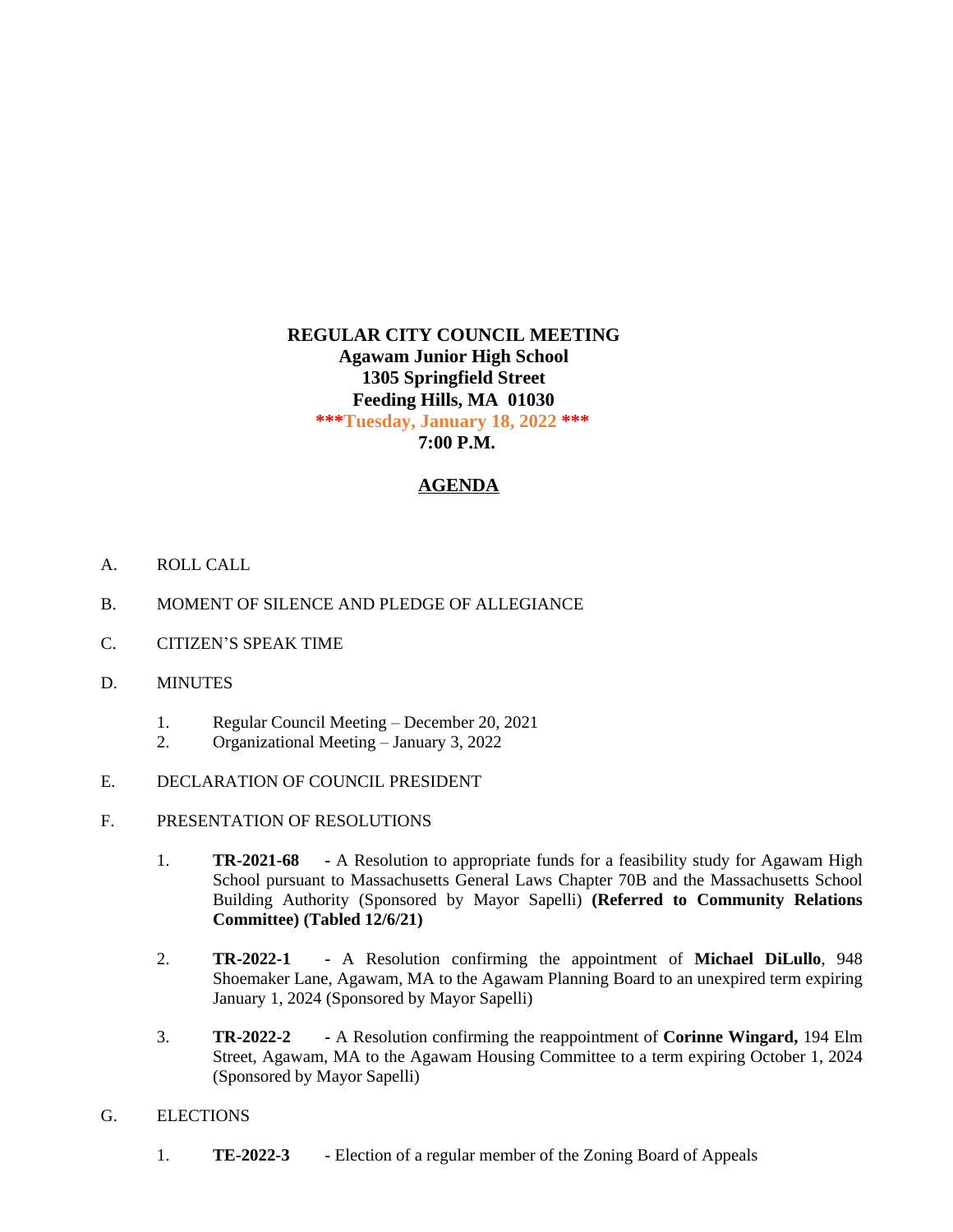# **REGULAR CITY COUNCIL MEETING Agawam Junior High School 1305 Springfield Street Feeding Hills, MA 01030 \*\*\*Tuesday, January 18, 2022 \*\*\* 7:00 P.M.**

## **AGENDA**

- A. ROLL CALL
- B. MOMENT OF SILENCE AND PLEDGE OF ALLEGIANCE
- C. CITIZEN'S SPEAK TIME
- D. MINUTES
	- 1. Regular Council Meeting December 20, 2021
	- 2. Organizational Meeting January 3, 2022
- E. DECLARATION OF COUNCIL PRESIDENT
- F. PRESENTATION OF RESOLUTIONS
	- 1. **TR-2021-68 -** A Resolution to appropriate funds for a feasibility study for Agawam High School pursuant to Massachusetts General Laws Chapter 70B and the Massachusetts School Building Authority (Sponsored by Mayor Sapelli) **(Referred to Community Relations Committee) (Tabled 12/6/21)**
	- 2. **TR-2022-1 -** A Resolution confirming the appointment of **Michael DiLullo**, 948 Shoemaker Lane, Agawam, MA to the Agawam Planning Board to an unexpired term expiring January 1, 2024 (Sponsored by Mayor Sapelli)
	- 3. **TR-2022-2 -** A Resolution confirming the reappointment of **Corinne Wingard,** 194 Elm Street, Agawam, MA to the Agawam Housing Committee to a term expiring October 1, 2024 (Sponsored by Mayor Sapelli)
- G. ELECTIONS
	- 1. **TE-2022-3** Election of a regular member of the Zoning Board of Appeals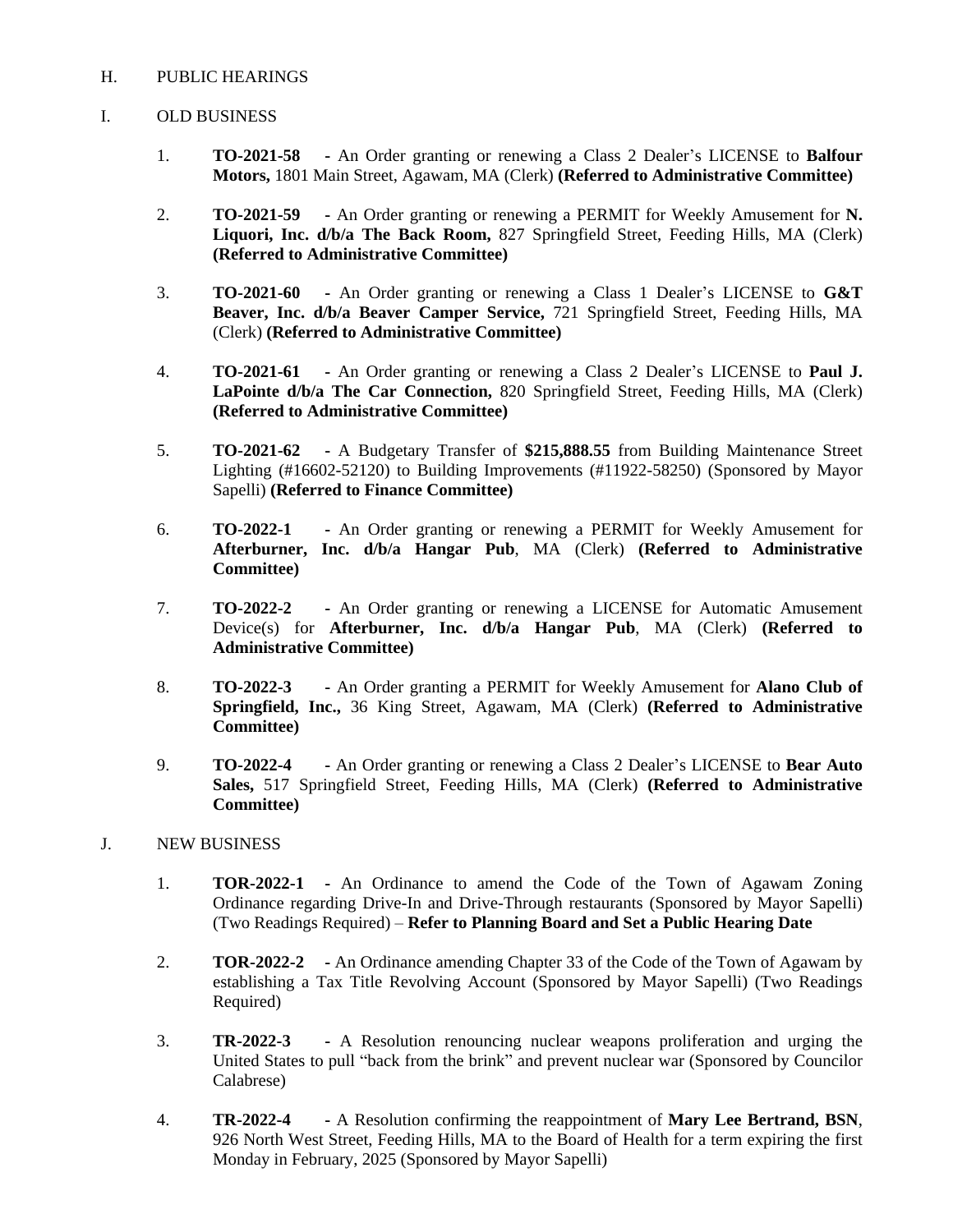## H. PUBLIC HEARINGS

#### I. OLD BUSINESS

- 1. **TO-2021-58 -** An Order granting or renewing a Class 2 Dealer's LICENSE to **Balfour Motors,** 1801 Main Street, Agawam, MA (Clerk) **(Referred to Administrative Committee)**
- 2. **TO-2021-59 -** An Order granting or renewing a PERMIT for Weekly Amusement for **N. Liquori, Inc. d/b/a The Back Room,** 827 Springfield Street, Feeding Hills, MA (Clerk) **(Referred to Administrative Committee)**
- 3. **TO-2021-60 -** An Order granting or renewing a Class 1 Dealer's LICENSE to **G&T Beaver, Inc. d/b/a Beaver Camper Service,** 721 Springfield Street, Feeding Hills, MA (Clerk) **(Referred to Administrative Committee)**
- 4. **TO-2021-61 -** An Order granting or renewing a Class 2 Dealer's LICENSE to **Paul J. LaPointe d/b/a The Car Connection,** 820 Springfield Street, Feeding Hills, MA (Clerk) **(Referred to Administrative Committee)**
- 5. **TO-2021-62 -** A Budgetary Transfer of **\$215,888.55** from Building Maintenance Street Lighting (#16602-52120) to Building Improvements (#11922-58250) (Sponsored by Mayor Sapelli) **(Referred to Finance Committee)**
- 6. **TO-2022-1 -** An Order granting or renewing a PERMIT for Weekly Amusement for **Afterburner, Inc. d/b/a Hangar Pub**, MA (Clerk) **(Referred to Administrative Committee)**
- 7. **TO-2022-2 -** An Order granting or renewing a LICENSE for Automatic Amusement Device(s) for **Afterburner, Inc. d/b/a Hangar Pub**, MA (Clerk) **(Referred to Administrative Committee)**
- 8. **TO-2022-3 -** An Order granting a PERMIT for Weekly Amusement for **Alano Club of Springfield, Inc.,** 36 King Street, Agawam, MA (Clerk) **(Referred to Administrative Committee)**
- 9. **TO-2022-4 -** An Order granting or renewing a Class 2 Dealer's LICENSE to **Bear Auto Sales,** 517 Springfield Street, Feeding Hills, MA (Clerk) **(Referred to Administrative Committee)**

#### J. NEW BUSINESS

- 1. **TOR-2022-1 -** An Ordinance to amend the Code of the Town of Agawam Zoning Ordinance regarding Drive-In and Drive-Through restaurants (Sponsored by Mayor Sapelli) (Two Readings Required) – **Refer to Planning Board and Set a Public Hearing Date**
- 2. **TOR-2022-2 -** An Ordinance amending Chapter 33 of the Code of the Town of Agawam by establishing a Tax Title Revolving Account (Sponsored by Mayor Sapelli) (Two Readings Required)
- 3. **TR-2022-3 -** A Resolution renouncing nuclear weapons proliferation and urging the United States to pull "back from the brink" and prevent nuclear war (Sponsored by Councilor Calabrese)
- 4. **TR-2022-4 -** A Resolution confirming the reappointment of **Mary Lee Bertrand, BSN**, 926 North West Street, Feeding Hills, MA to the Board of Health for a term expiring the first Monday in February, 2025 (Sponsored by Mayor Sapelli)